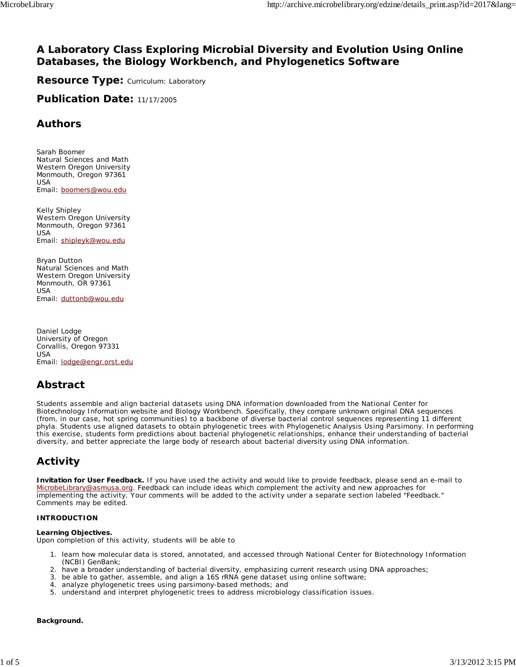### **A Laboratory Class Exploring Microbial Diversity and Evolution Using Online Databases, the Biology Workbench, and Phylogenetics Software**

**Resource Type: Curriculum: Laboratory** 

**Publication Date: 11/17/2005** 

### **Authors**

*Sarah Boomer* Natural Sciences and Math Western Oregon University Monmouth, Oregon 97361 USA Email: boomers@wou.edu

*Kelly Shipley* Western Oregon University Monmouth, Oregon 97361 USA Email: shipleyk@wou.edu

*Bryan Dutton* Natural Sciences and Math Western Oregon University Monmouth, OR 97361 USA Email: duttonb@wou.edu

*Daniel Lodge* University of Oregon Corvallis, Oregon 97331 USA Email: lodge@engr.orst.edu

# **Abstract**

Students assemble and align bacterial datasets using DNA information downloaded from the National Center for Biotechnology Information website and Biology Workbench. Specifically, they compare unknown original DNA sequences (from, in our case, hot spring communities) to a backbone of diverse bacterial control sequences representing 11 different phyla. Students use aligned datasets to obtain phylogenetic trees with Phylogenetic Analysis Using Parsimony. In performing this exercise, students form predictions about bacterial phylogenetic relationships, enhance their understanding of bacterial diversity, and better appreciate the large body of research about bacterial diversity using DNA information.

# **Activity**

**Invitation for User Feedback.** If you have used the activity and would like to provide feedback, please send an e-mail to MicrobeLibrary@asmusa.org. Feedback can include ideas which complement the activity and new approaches for implementing the activity. Your comments will be added to the activity under a separate section labeled "Feedback." Comments may be edited.

#### **INTRODUCTION**

#### **Learning Objectives.**

Upon completion of this activity, students will be able to

- 1. Iearn how molecular data is stored, annotated, and accessed through National Center for Biotechnology Information (NCBI) GenBank;
- 2. have a broader understanding of bacterial diversity, emphasizing current research using DNA approaches;
- 3. be able to gather, assemble, and align a 16S rRNA gene dataset using online software;
- 4. analyze phylogenetic trees using parsimony-based methods; and
- 5. understand and interpret phylogenetic trees to address microbiology classification issues.

#### **Background.**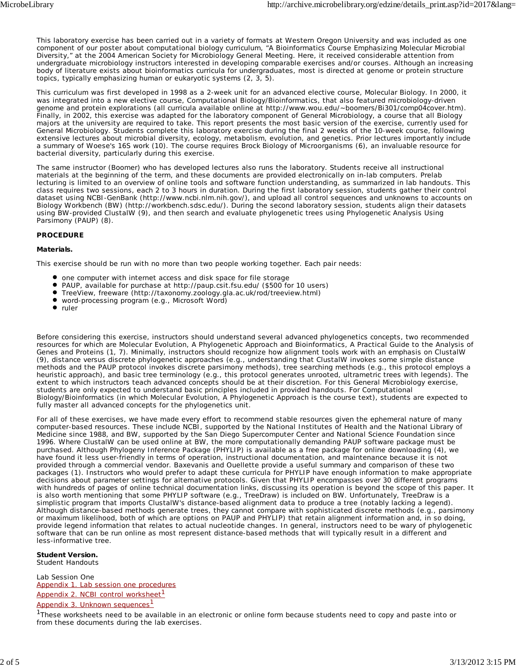This laboratory exercise has been carried out in a variety of formats at Western Oregon University and was included as one component of our poster about computational biology curriculum, "A Bioinformatics Course Emphasizing Molecular Microbial Diversity," at the 2004 American Society for Microbiology General Meeting. Here, it received considerable attention from undergraduate microbiology instructors interested in developing comparable exercises and/or courses. Although an increasing body of literature exists about bioinformatics curricula for undergraduates, most is directed at genome or protein structure topics, typically emphasizing human or eukaryotic systems (2, 3, 5).

This curriculum was first developed in 1998 as a 2-week unit for an advanced elective course, Molecular Biology. In 2000, it was integrated into a new elective course, Computational Biology/Bioinformatics, that also featured microbiology-driven genome and protein explorations (all curricula available online at http://www.wou.edu/~boomers/Bi301/comp04cover.htm). Finally, in 2002, this exercise was adapted for the laboratory component of General Microbiology, a course that all Biology majors at the university are required to take. This report presents the most basic version of the exercise, currently used for General Microbiology. Students complete this laboratory exercise during the final 2 weeks of the 10-week course, following extensive lectures about microbial diversity, ecology, metabolism, evolution, and genetics. Prior lectures importantly include a summary of Woese's 16S work (10). The course requires *Brock Biology of Microorganisms* (6), an invaluable resource for bacterial diversity, particularly during this exercise.

The same instructor (Boomer) who has developed lectures also runs the laboratory. Students receive all instructional materials at the beginning of the term, and these documents are provided electronically on in-lab computers. Prelab lecturing is limited to an overview of online tools and software function understanding, as summarized in lab handouts. This class requires two sessions, each 2 to 3 hours in duration. During the first laboratory session, students gather their control dataset using NCBI-GenBank (http://www.ncbi.nlm.nih.gov/), and upload all control sequences and unknowns to accounts on Biology Workbench (BW) (http://workbench.sdsc.edu/). During the second laboratory session, students align their datasets using BW-provided ClustalW (9), and then search and evaluate phylogenetic trees using Phylogenetic Analysis Using Parsimony (PAUP) (8).

#### **PROCEDURE**

#### **Materials.**

This exercise should be run with no more than two people working together. Each pair needs:

- $\bullet$  one computer with internet access and disk space for file storage
- $\bullet$ PAUP, available for purchase at http://paup.csit.fsu.edu/ (\$500 for 10 users)
- TreeView, freeware (http://taxonomy.zoology.gla.ac.uk/rod/treeview.html)
- word-processing program (e.g., Microsoft Word)
- ruler

Before considering this exercise, instructors should understand several advanced phylogenetics concepts, two recommended resources for which are *Molecular Evolution, A Phylogenetic Approach* and *Bioinformatics, A Practical Guide to the Analysis of Genes and Proteins* (1, 7). Minimally, instructors should recognize how alignment tools work with an emphasis on ClustalW (9), distance versus discrete phylogenetic approaches (e.g., understanding that ClustalW invokes some simple distance methods and the PAUP protocol invokes discrete parsimony methods), tree searching methods (e.g., this protocol employs a heuristic approach), and basic tree terminology (e.g., this protocol generates unrooted, ultrametric trees with legends). The extent to which instructors teach advanced concepts should be at their discretion. For this General Microbiology exercise, students are only expected to understand basic principles included in provided handouts. For Computational Biology/Bioinformatics (in which *Molecular Evolution, A Phylogenetic Approach* is the course text), students are expected to fully master all advanced concepts for the phylogenetics unit.

For all of these exercises, we have made every effort to recommend stable resources given the ephemeral nature of many computer-based resources. These include NCBI, supported by the National Institutes of Health and the National Library of Medicine since 1988, and BW, supported by the San Diego Supercomputer Center and National Science Foundation since 1996. Where ClustalW can be used online at BW, the more computationally demanding PAUP software package must be purchased. Although Phylogeny Inference Package (PHYLIP) is available as a free package for online downloading (4), we have found it less user-friendly in terms of operation, instructional documentation, and maintenance because it is not provided through a commercial vendor. Baxevanis and Ouellette provide a useful summary and comparison of these two packages (1). Instructors who would prefer to adapt these curricula for PHYLIP have enough information to make appropriate decisions about parameter settings for alternative protocols. Given that PHYLIP encompasses over 30 different programs with hundreds of pages of online technical documentation links, discussing its operation is beyond the scope of this paper. It is also worth mentioning that some PHYLIP software (e.g., TreeDraw) is included on BW. Unfortunately, TreeDraw is a simplistic program that imports ClustalW's distance-based alignment data to produce a tree (notably lacking a legend). Although distance-based methods generate trees, they cannot compare with sophisticated discrete methods (e.g., parsimony or maximum likelihood, both of which are options on PAUP and PHYLIP) that retain alignment information and, in so doing, provide legend information that relates to actual nucleotide changes. In general, instructors need to be wary of phylogenetic software that can be run online as most represent distance-based methods that will typically result in a different and less-informative tree.

#### **Student Version.** Student Handouts

Lab Session One Appendix 1. Lab session one procedures Appendix 2. NCBI control worksheet*<sup>1</sup>*

Appendix 3. Unknown sequences*<sup>1</sup>*

<sup>7</sup>These worksheets need to be available in an electronic or online form because students need to copy and paste into or from these documents during the lab exercises.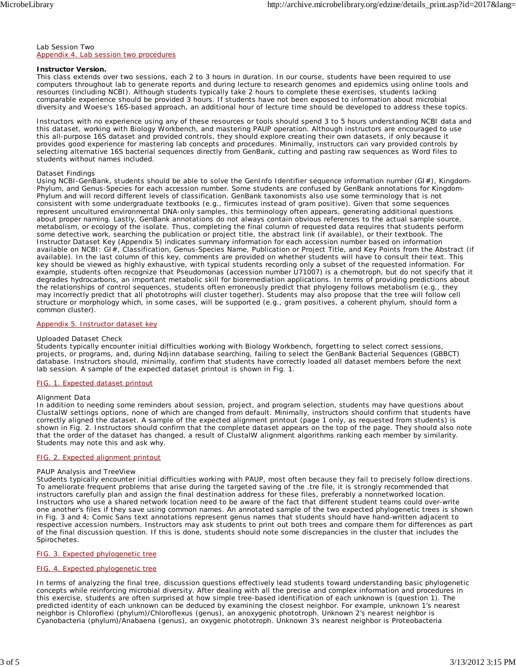Lab Session Two Appendix 4. Lab session two procedures

#### **Instructor Version.**

This class extends over two sessions, each 2 to 3 hours in duration. In our course, students have been required to use computers throughout lab to generate reports and during lecture to research genomes and epidemics using online tools and resources (including NCBI). Although students typically take 2 hours to complete these exercises, students lacking comparable experience should be provided 3 hours. If students have not been exposed to information about microbial diversity and Woese's 16S-based approach, an additional hour of lecture time should be developed to address these topics.

Instructors with no experience using any of these resources or tools should spend 3 to 5 hours understanding NCBI data and this dataset, working with Biology Workbench, and mastering PAUP operation. Although instructors are encouraged to use this all-purpose 16S dataset and provided controls, they should explore creating their own datasets, if only because it provides good experience for mastering lab concepts and procedures. Minimally, instructors can vary provided controls by selecting alternative 16S bacterial sequences directly from GenBank, cutting and pasting raw sequences as Word files to students without names included.

#### *Dataset Findings*

Using NCBI-GenBank, students should be able to solve the GenInfo Identifier sequence information number (GI#), Kingdom-Phylum, and Genus-Species for each accession number. Some students are confused by GenBank annotations for Kingdom-Phylum and will record different levels of classification. GenBank taxonomists also use some terminology that is not consistent with some undergraduate textbooks (e.g., firmicutes instead of gram positive). Given that some sequences represent uncultured environmental DNA-only samples, this terminology often appears, generating additional questions about proper naming. Lastly, GenBank annotations do not always contain obvious references to the actual sample source, metabolism, or ecology of the isolate. Thus, completing the final column of requested data requires that students perform some detective work, searching the publication or project title, the abstract link (if available), or their textbook. The Instructor Dataset Key (Appendix 5) indicates summary information for each accession number based on information available on NCBI: GI#, Classification, Genus-Species Name, Publication or Project Title, and Key Points from the Abstract (if available). In the last column of this key, comments are provided on whether students will have to consult their text. This key should be viewed as highly exhaustive, with typical students recording only a subset of the requested information. For example, students often recognize that *Pseudomonas* (accession number U71007) is a chemotroph, but do not specify that it degrades hydrocarbons, an important metabolic skill for bioremediation applications. In terms of providing predictions about the relationships of control sequences, students often erroneously predict that phylogeny follows metabolism (e.g., they may incorrectly predict that all phototrophs will cluster together). Students may also propose that the tree will follow cell structure or morphology which, in some cases, will be supported (e.g., gram positives, a coherent phylum, should form a common cluster).

#### Appendix 5. Instructor dataset key

#### *Uploaded Dataset Check*

Students typically encounter initial difficulties working with Biology Workbench, forgetting to select correct sessions, projects, or programs, and, during Ndjinn database searching, failing to select the GenBank Bacterial Sequences (GBBCT) database. Instructors should, minimally, confirm that students have correctly loaded all dataset members before the next lab session. A sample of the expected dataset printout is shown in Fig. 1.

#### FIG. 1. Expected dataset printout

#### *Alignment Data*

In addition to needing some reminders about session, project, and program selection, students may have questions about ClustalW settings options, none of which are changed from default. Minimally, instructors should confirm that students have correctly aligned the dataset. A sample of the expected alignment printout (page 1 only, as requested from students) is shown in Fig. 2. Instructors should confirm that the complete dataset appears on the top of the page. They should also note that the order of the dataset has changed, a result of ClustalW alignment algorithms ranking each member by similarity. Students may note this and ask why.

#### FIG. 2. Expected alignment printout

#### *PAUP Analysis and TreeView*

Students typically encounter initial difficulties working with PAUP, most often because they fail to precisely follow directions. To ameliorate frequent problems that arise during the targeted saving of the .tre file, it is strongly recommended that instructors carefully plan and assign the final destination address for these files, preferably a nonnetworked location. Instructors who use a shared network location need to be aware of the fact that different student teams could over-write one another's files if they save using common names. An annotated sample of the two expected phylogenetic trees is shown in Fig. 3 and 4; Comic Sans text annotations represent genus names that students should have hand-written adjacent to respective accession numbers. Instructors may ask students to print out both trees and compare them for differences as part of the final discussion question. If this is done, students should note some discrepancies in the cluster that includes the *Spirochetes*.

#### FIG. 3. Expected phylogenetic tree

#### FIG. 4. Expected phylogenetic tree

In terms of analyzing the final tree, discussion questions effectively lead students toward understanding basic phylogenetic concepts while reinforcing microbial diversity. After dealing with all the precise and complex information and procedures in this exercise, students are often surprised at how simple tree-based identification of each unknown is (question 1). The predicted identity of each unknown can be deduced by examining the closest neighbor. For example, unknown 1's nearest neighbor is Chloroflexi (phylum)/*Chloroflexus* (genus), an anoxygenic phototroph. Unknown 2's nearest neighbor is Cyanobacteria (phylum)/*Anabaena* (genus), an oxygenic phototroph. Unknown 3's nearest neighbor is Proteobacteria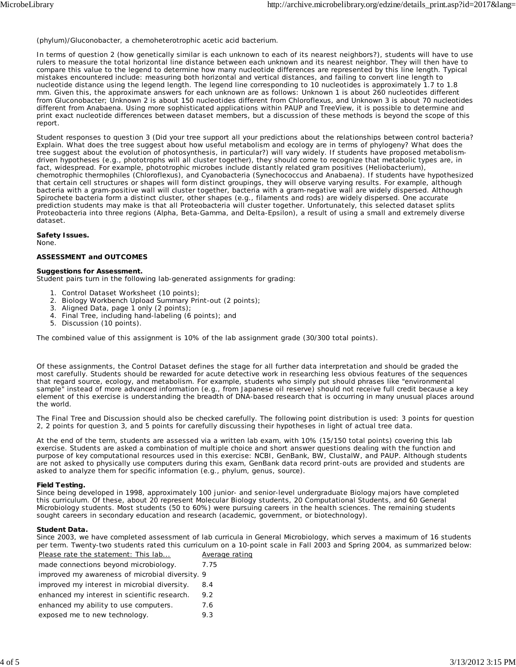(phylum)/*Gluconobacter*, a chemoheterotrophic acetic acid bacterium.

In terms of question 2 (how genetically similar is each unknown to each of its nearest neighbors?), students will have to use rulers to measure the total horizontal line distance between each unknown and its nearest neighbor. They will then have to compare this value to the legend to determine how many nucleotide differences are represented by this line length. Typical mistakes encountered include: measuring both horizontal and vertical distances, and failing to convert line length to nucleotide distance using the legend length. The legend line corresponding to 10 nucleotides is approximately 1.7 to 1.8 mm. Given this, the approximate answers for each unknown are as follows: Unknown 1 is about 260 nucleotides different from *Gluconobacter*; Unknown 2 is about 150 nucleotides different from *Chloroflexus*, and Unknown 3 is about 70 nucleotides different from *Anabaena*. Using more sophisticated applications within PAUP and TreeView, it is possible to determine and print exact nucleotide differences between dataset members, but a discussion of these methods is beyond the scope of this report.

Student responses to question 3 (Did your tree support all your predictions about the relationships between control bacteria? Explain. What does the tree suggest about how useful metabolism and ecology are in terms of phylogeny? What does the tree suggest about the evolution of photosynthesis, in particular?) will vary widely. If students have proposed metabolismdriven hypotheses (e.g., phototrophs will all cluster together), they should come to recognize that metabolic types are, in fact, widespread. For example, phototrophic microbes include distantly related gram positives (*Heliobacterium*), chemotrophic thermophiles (*Chloroflexus*), and Cyanobacteria (*Synechococcus* and *Anabaena*). If students have hypothesized that certain cell structures or shapes will form distinct groupings, they will observe varying results. For example, although bacteria with a gram-positive wall will cluster together, bacteria with a gram-negative wall are widely dispersed. Although Spirochete bacteria form a distinct cluster, other shapes (e.g., filaments and rods) are widely dispersed. One accurate prediction students may make is that all Proteobacteria will cluster together. Unfortunately, this selected dataset splits Proteobacteria into three regions (Alpha, Beta-Gamma, and Delta-Epsilon), a result of using a small and extremely diverse dataset.

**Safety Issues.**

None.

#### **ASSESSMENT and OUTCOMES**

#### **Suggestions for Assessment.**

Student pairs turn in the following lab-generated assignments for grading:

- 1. Control Dataset Worksheet (10 points);
- 2. Biology Workbench Upload Summary Print-out (2 points);
- 3. Aligned Data, page 1 only (2 points);
- 4. Final Tree, including hand-labeling (6 points); and
- 5. Discussion (10 points).

The combined value of this assignment is 10% of the lab assignment grade (30/300 total points).

Of these assignments, the Control Dataset defines the stage for all further data interpretation and should be graded the most carefully. Students should be rewarded for acute detective work in researching less obvious features of the sequences that regard source, ecology, and metabolism. For example, students who simply put should phrases like "environmental sample" instead of more advanced information (e.g., from Japanese oil reserve) should not receive full credit because a key element of this exercise is understanding the breadth of DNA-based research that is occurring in many unusual places around the world.

The Final Tree and Discussion should also be checked carefully. The following point distribution is used: 3 points for question 2, 2 points for question 3, and 5 points for carefully discussing their hypotheses in light of actual tree data.

At the end of the term, students are assessed via a written lab exam, with 10% (15/150 total points) covering this lab exercise. Students are asked a combination of multiple choice and short answer questions dealing with the function and purpose of key computational resources used in this exercise: NCBI, GenBank, BW, ClustalW, and PAUP. Although students are not asked to physically use computers during this exam, GenBank data record print-outs are provided and students are asked to analyze them for specific information (e.g., phylum, genus, source).

#### **Field Testing.**

Since being developed in 1998, approximately 100 junior- and senior-level undergraduate Biology majors have completed this curriculum. Of these, about 20 represent Molecular Biology students, 20 Computational Students, and 60 General Microbiology students. Most students (50 to 60%) were pursuing careers in the health sciences. The remaining students sought careers in secondary education and research (academic, government, or biotechnology).

#### **Student Data.**

Since 2003, we have completed assessment of lab curricula in General Microbiology, which serves a maximum of 16 students per term. Twenty-two students rated this curriculum on a 10-point scale in Fall 2003 and Spring 2004, as summarized below:

| Please rate the statement: This lab             | Average rating |
|-------------------------------------------------|----------------|
| made connections beyond microbiology.           | 7.75           |
| improved my awareness of microbial diversity. 9 |                |
| improved my interest in microbial diversity.    | 8.4            |
| enhanced my interest in scientific research.    | 9.2            |
| enhanced my ability to use computers.           | 7.6            |
| exposed me to new technology.                   | 9.3            |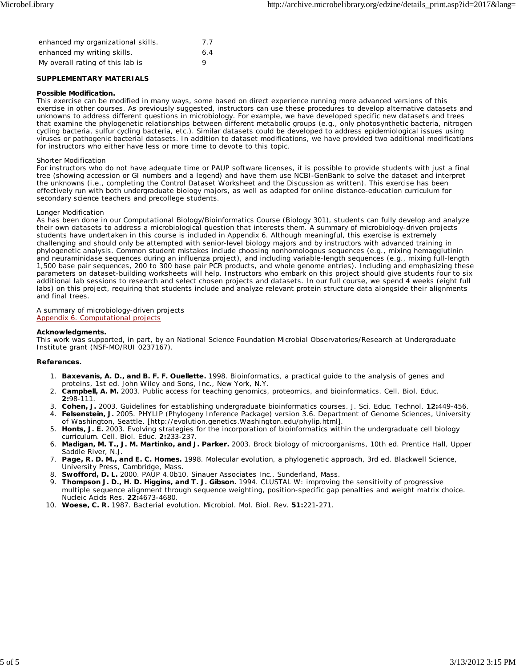| enhanced my organizational skills. | 7.7 |
|------------------------------------|-----|
| enhanced my writing skills.        | 6.4 |
| My overall rating of this lab is   | Q   |

#### **SUPPLEMENTARY MATERIALS**

#### **Possible Modification.**

This exercise can be modified in many ways, some based on direct experience running more advanced versions of this exercise in other courses. As previously suggested, instructors can use these procedures to develop alternative datasets and unknowns to address different questions in microbiology. For example, we have developed specific new datasets and trees that examine the phylogenetic relationships between different metabolic groups (e.g., only photosynthetic bacteria, nitrogen cycling bacteria, sulfur cycling bacteria, etc.). Similar datasets could be developed to address epidemiological issues using viruses or pathogenic bacterial datasets. In addition to dataset modifications, we have provided two additional modifications for instructors who either have less or more time to devote to this topic.

#### Shorter Modification

For instructors who do not have adequate time or PAUP software licenses, it is possible to provide students with just a final tree (showing accession or GI numbers and a legend) and have them use NCBI-GenBank to solve the dataset and interpret the unknowns (i.e., completing the Control Dataset Worksheet and the Discussion as written). This exercise has been effectively run with both undergraduate biology majors, as well as adapted for online distance-education curriculum for secondary science teachers and precollege students.

#### Longer Modification

As has been done in our Computational Biology/Bioinformatics Course (Biology 301), students can fully develop and analyze their own datasets to address a microbiological question that interests them. A summary of microbiology-driven projects students have undertaken in this course is included in Appendix 6. Although meaningful, this exercise is extremely challenging and should only be attempted with senior-level biology majors and by instructors with advanced training in phylogenetic analysis. Common student mistakes include choosing nonhomologous sequences (e.g., mixing hemagglutinin and neuraminidase sequences during an influenza project), and including variable-length sequences (e.g., mixing full-length 1,500 base pair sequences, 200 to 300 base pair PCR products, and whole genome entries). Including and emphasizing these parameters on dataset-building worksheets will help. Instructors who embark on this project should give students four to six additional lab sessions to research and select chosen projects and datasets. In our full course, we spend 4 weeks (eight full labs) on this project, requiring that students include and analyze relevant protein structure data alongside their alignments and final trees.

### A summary of microbiology-driven projects

Appendix 6. Computational projects

#### **Acknowledgments.**

This work was supported, in part, by an National Science Foundation Microbial Observatories/Research at Undergraduate Institute grant (NSF-MO/RUI 0237167).

#### **References.**

- **Baxevanis, A. D., and B. F. F. Ouellette.** 1998. Bioinformatics, a practical guide to the analysis of genes and 1. proteins, 1st ed. John Wiley and Sons, Inc., New York, N.Y.
- 2. **Campbell, A. M.** 2003. Public access for teaching genomics, proteomics, and bioinformatics. Cell. Biol. Educ. **2:**98-111.
- 3. **Cohen, J.** 2003. Guidelines for establishing undergraduate bioinformatics courses. J. Sci. Educ. Technol. **12:**449-456.
- 4. Felsenstein, J. 2005. PHYLIP (Phylogeny Inference Package) version 3.6. Department of Genome Sciences, University of Washington, Seattle. [http://evolution.genetics.Washington.edu/phylip.html].
- 5. Honts, J. E. 2003. Evolving strategies for the incorporation of bioinformatics within the undergraduate cell biology curriculum. Cell. Biol. Educ. **2:**233-237.
- **Madigan, M. T., J. M. Martinko, and J. Parker.** 2003. Brock biology of microorganisms, 10th ed. Prentice Hall, Upper 6. Saddle River, N.J.
- **Page, R. D. M., and E. C. Homes.** 1998. Molecular evolution, a phylogenetic approach, 3rd ed. Blackwell Science, 7. University Press, Cambridge, Mass.
- 8. **Swofford, D. L.** 2000. PAUP 4.0b10. Sinauer Associates Inc., Sunderland, Mass.
- 9. Thompson J. D., H. D. Higgins, and T. J. Gibson. 1994. CLUSTAL W: improving the sensitivity of progressive multiple sequence alignment through sequence weighting, position-specific gap penalties and weight matrix choice. Nucleic Acids Res. **22:**4673-4680.
- 10. **Woese, C. R.** 1987. Bacterial evolution. Microbiol. Mol. Biol. Rev. **51:**221-271.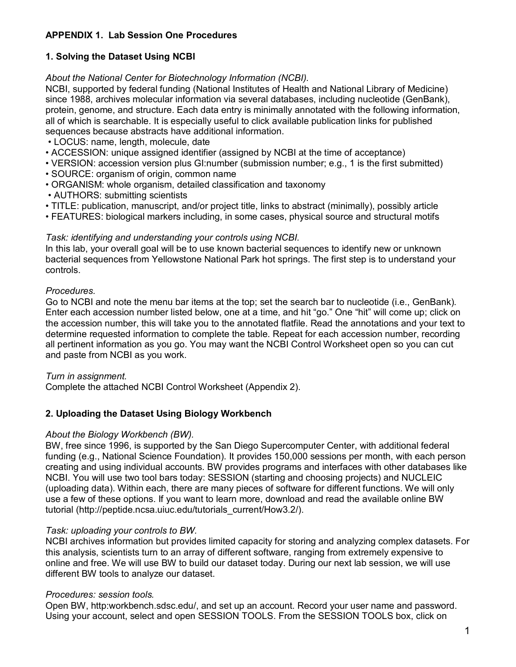## **APPENDIX 1. Lab Session One Procedures**

### **1. Solving the Dataset Using NCBI**

*About the National Center for Biotechnology Information (NCBI).*

NCBI, supported by federal funding (National Institutes of Health and National Library of Medicine) since 1988, archives molecular information via several databases, including nucleotide (GenBank), protein, genome, and structure. Each data entry is minimally annotated with the following information, all of which is searchable. It is especially useful to click available publication links for published sequences because abstracts have additional information.

- LOCUS: name, length, molecule, date
- ACCESSION: unique assigned identifier (assigned by NCBI at the time of acceptance)
- VERSION: accession version plus GI:number (submission number; e.g., 1 is the first submitted)
- SOURCE: organism of origin, common name
- ORGANISM: whole organism, detailed classification and taxonomy
- AUTHORS: submitting scientists
- TITLE: publication, manuscript, and/or project title, links to abstract (minimally), possibly article
- FEATURES: biological markers including, in some cases, physical source and structural motifs

### *Task: identifying and understanding your controls using NCBI.*

In this lab, your overall goal will be to use known bacterial sequences to identify new or unknown bacterial sequences from Yellowstone National Park hot springs. The first step is to understand your controls.

### *Procedures.*

Go to NCBI and note the menu bar items at the top; set the search bar to nucleotide (i.e., GenBank). Enter each accession number listed below, one at a time, and hit "go." One "hit" will come up; click on the accession number, this will take you to the annotated flatfile. Read the annotations and your text to determine requested information to complete the table. Repeat for each accession number, recording all pertinent information as you go. You may want the NCBI Control Worksheet open so you can cut and paste from NCBI as you work.

### *Turn in assignment.*

Complete the attached NCBI Control Worksheet (Appendix 2).

### **2. Uploading the Dataset Using Biology Workbench**

### *About the Biology Workbench (BW).*

BW, free since 1996, is supported by the San Diego Supercomputer Center, with additional federal funding (e.g., National Science Foundation). It provides 150,000 sessions per month, with each person creating and using individual accounts*.* BW provides programs and interfaces with other databases like NCBI. You will use two tool bars today: SESSION (starting and choosing projects) and NUCLEIC (uploading data). Within each, there are many pieces of software for different functions. We will only use a few of these options. If you want to learn more, download and read the available online BW tutorial (http://peptide.ncsa.uiuc.edu/tutorials\_current/How3.2/).

### *Task: uploading your controls to BW.*

NCBI archives information but provides limited capacity for storing and analyzing complex datasets. For this analysis, scientists turn to an array of different software, ranging from extremely expensive to online and free. We will use BW to build our dataset today. During our next lab session, we will use different BW tools to analyze our dataset.

### *Procedures: session tools.*

Open BW, http:workbench.sdsc.edu/, and set up an account. Record your user name and password. Using your account, select and open SESSION TOOLS. From the SESSION TOOLS box, click on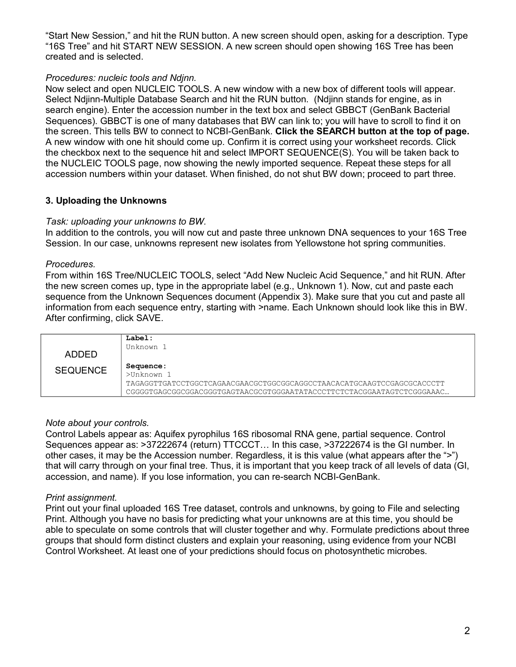"Start New Session," and hit the RUN button. A new screen should open, asking for a description. Type "16S Tree" and hit START NEW SESSION. A new screen should open showing 16S Tree has been created and is selected.

### *Procedures: nucleic tools and Ndjnn.*

Now select and open NUCLEIC TOOLS. A new window with a new box of different tools will appear. Select Ndjinn-Multiple Database Search and hit the RUN button. (Ndjinn stands for engine, as in search engine). Enter the accession number in the text box and select GBBCT (GenBank Bacterial Sequences). GBBCT is one of many databases that BW can link to; you will have to scroll to find it on the screen. This tells BW to connect to NCBI-GenBank. **Click the SEARCH button at the top of page.** A new window with one hit should come up. Confirm it is correct using your worksheet records. Click the checkbox next to the sequence hit and select IMPORT SEQUENCE(S). You will be taken back to the NUCLEIC TOOLS page, now showing the newly imported sequence. Repeat these steps for all accession numbers within your dataset. When finished, do not shut BW down; proceed to part three.

### **3. Uploading the Unknowns**

### *Task: uploading your unknowns to BW.*

In addition to the controls, you will now cut and paste three unknown DNA sequences to your 16S Tree Session. In our case, unknowns represent new isolates from Yellowstone hot spring communities.

### *Procedures.*

From within 16S Tree/NUCLEIC TOOLS, select "Add New Nucleic Acid Sequence," and hit RUN. After the new screen comes up, type in the appropriate label (e.g., Unknown 1). Now, cut and paste each sequence from the Unknown Sequences document (Appendix 3). Make sure that you cut and paste all information from each sequence entry, starting with >name. Each Unknown should look like this in BW. After confirming, click SAVE.

| ADDED           | Label:<br>Unknown 1                                                                                                                                                            |
|-----------------|--------------------------------------------------------------------------------------------------------------------------------------------------------------------------------|
| <b>SEQUENCE</b> | Sequence :<br>$>$ Unknown 1<br>TAGAGGTTGATCCTGGCTCAGAACGAACGCTGGCGGCAGGCCTAACACATGCAAGTCCGAGCGCACCCTT<br>CGGGGTGAGCGGCGGACGGTGAGTAACGCGTGGGAATATACCCTTCTCTACGGAATAGTCTCGGGAAAC |

### *Note about your controls.*

Control Labels appear as: Aquifex pyrophilus 16S ribosomal RNA gene, partial sequence. Control Sequences appear as: >37222674 (return) TTCCCT… In this case, >37222674 is the GI number. In other cases, it may be the Accession number. Regardless, it is this value (what appears after the ">") that will carry through on your final tree. Thus, it is important that you keep track of all levels of data (GI, accession, and name). If you lose information, you can re-search NCBI-GenBank.

### *Print assignment.*

Print out your final uploaded 16S Tree dataset, controls and unknowns, by going to File and selecting Print. Although you have no basis for predicting what your unknowns are at this time, you should be able to speculate on some controls that will cluster together and why. Formulate predictions about three groups that should form distinct clusters and explain your reasoning, using evidence from your NCBI Control Worksheet. At least one of your predictions should focus on photosynthetic microbes.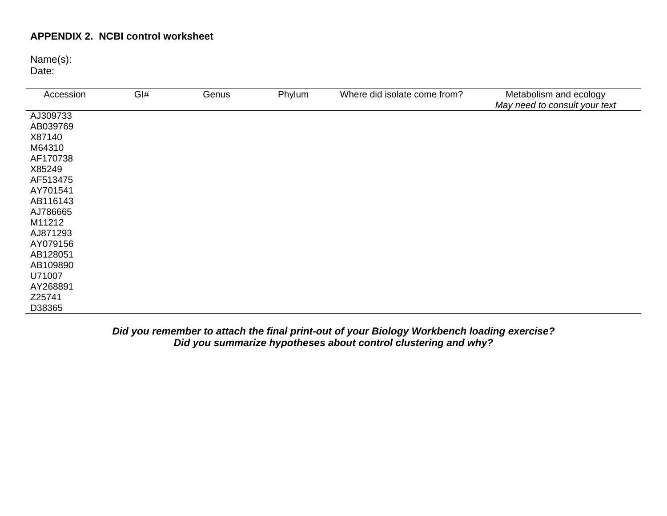### **APPENDIX 2. NCBI control worksheet**

Name(s):

Date:

| Accession | GI# | Genus | Phylum | Where did isolate come from? | Metabolism and ecology<br>May need to consult your text |
|-----------|-----|-------|--------|------------------------------|---------------------------------------------------------|
| AJ309733  |     |       |        |                              |                                                         |
| AB039769  |     |       |        |                              |                                                         |
| X87140    |     |       |        |                              |                                                         |
| M64310    |     |       |        |                              |                                                         |
| AF170738  |     |       |        |                              |                                                         |
| X85249    |     |       |        |                              |                                                         |
| AF513475  |     |       |        |                              |                                                         |
| AY701541  |     |       |        |                              |                                                         |
| AB116143  |     |       |        |                              |                                                         |
| AJ786665  |     |       |        |                              |                                                         |
| M11212    |     |       |        |                              |                                                         |
| AJ871293  |     |       |        |                              |                                                         |
| AY079156  |     |       |        |                              |                                                         |
| AB128051  |     |       |        |                              |                                                         |
| AB109890  |     |       |        |                              |                                                         |
| U71007    |     |       |        |                              |                                                         |
| AY268891  |     |       |        |                              |                                                         |
| Z25741    |     |       |        |                              |                                                         |
| D38365    |     |       |        |                              |                                                         |

*Did you remember to attach the final print-out of your Biology Workbench loading exercise? Did you summarize hypotheses about control clustering and why?*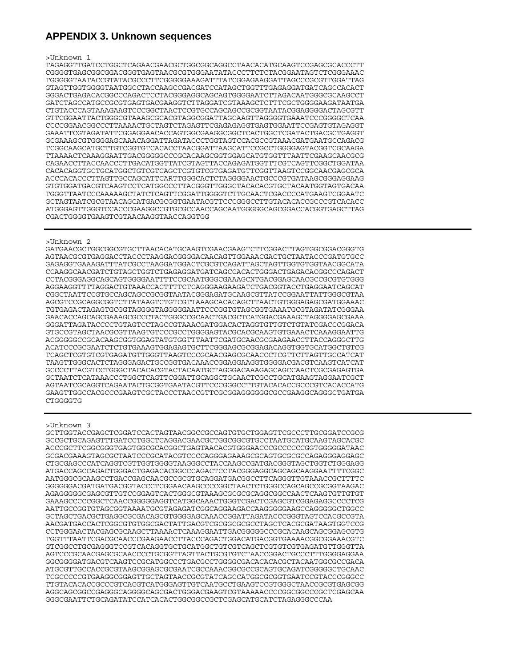### **APPENDIX 3. Unknown sequences**

#### >Unknown 1

TAGAGGTTGATCCTGGCTCAGAACGAACGCTGGCGGCAGGCCTAACACATGCAAGTCCGAGCGCACCCTT CGGGGTGAGCGGCGGACGGGTGAGTAACGCGTGGGAATATACCCTTCTCTACGGAATAGTCTCGGGAAAC TGGGGGTAATACCGTATACGCCCTTCGGGGGAAAGATTTATCGGAGAAGGATTAGCCCGCGTTGGATTAG GTAGTTGGTGGGGTAATGGCCTACCAAGCCGACGATCCATAGCTGGTTTGAGAGGATGATCAGCCACACT GGGACTGAGACACGGCCCAGACTCCTACGGGAGGCAGCAGTGGGGAATCTTAGACAATGGGCGCAAGCCT GATCTAGCCATGCCGCGTGAGTGACGAAGGTCTTAGGATCGTAAAGCTCTTTCGCTGGGGAAGATAATGA CTGTACCCAGTAAAGAAGTCCCGGCTAACTCCGTGCCAGCAGCCGCGGTAATACGGAGGGGACTAGCGTT GTTCGGAATTACTGGGCGTAAAGCGCACGTAGGCGGATTAGCAAGTTAGGGGTGAAATCCCGGGGCTCAA CCCCGGAACGGCCCTTAAAACTGCTAGTCTAGAGTTCGAGAGAGGTGAGTGGAATTCCGAGTGTAGAGGT GAAATTCGTAGATATTCGGAGGAACACCAGTGGCGAAGGCGGCTCACTGGCTCGATACTGACGCTGAGGT GCGAAAGCGTGGGGAGCAAACAGGATTAGATACCCTGGTAGTCCACGCCGTAAACGATGAATGCCAGACG TCGGCAAGCATGCTTGTCGGTGTCACACCTAACGGATTAAGCATTCCGCCTGGGGAGTACGGTCGCAAGA TTAAAACTCAAAGGAATTGACGGGGGCCCGCACAAGCGGTGGAGCATGTGGTTTAATTCGAAGCAACGCG CAGAACCTTACCAACCCTTGACATGGTTATCGTAGTTACCAGAGATGGTTTCGTCAGTTCGGCTGGATAA CACACAGGTGCTGCATGGCTGTCGTCAGCTCGTGTCGTGAGATGTTCGGTTAAGTCCGGCAACGAGCGCA ACCCACACCCTTAGTTGCCAGCATTCARTTGGGCACTCTAGGGGAACTGCCCGTGATAAGCGGGAGGAAG GTGTGGATGACGTCAAGTCCTCATGGCCCTTACGGGTTGGGCTACACACGTGCTACAATGGTAGTGACAA TGGGTTAATCCCAAAAAGCTATCTCAGTTCGGATTGGGGTCTTGCAACTCGACCCCATGAAGTCGGAATC GCTAGTAATCGCGTAACAGCATGACGCGGTGAATACGTTCCCGGGCCTTGTACACACCGCCCGTCACACC ATGGGAGTTGGGTCCACCCGAAGGCCGTGCGCCAACCAGCAATGGGGGCAGCGGACCACGGTGAGCTTAG CGACTGGGGTGAAGTCGTAACAAGGTAACCAGGTGG

#### >Unknown 2

GATGAACGCTGGCGGCGTGCTTAACACATGCAAGTCGAACGAAGTCTTCGGACTTAGTGGCGGACGGGTG AGTAACGCGTGAGGACCTACCCTAAGGACGGGGACAACAGTTGGAAACGACTGCTAATACCCGATGTGCC GAGAGGTGAAAGATTTATCGCCTAAGGATGGACTCGCGTCAGATTAGCTAGTTGGTGTGGTAACGGCATA CCAAGGCAACGATCTGTAGCTGGTCTGAGAGGATGATCAGCCACACTGGGACTGAGACACGGCCCAGACT CCTACGGGAGGCAGCAGTGGGGAATTTTCCGCAATGGGCGAAAGCNTGACGGAGCAACGCCGCGTGTGGG AGGAAGGTTTTAGGACTGTAAACCACTTTTCTCAGGGAAGAAGATCTGACGGTACCTGAGGAATCAGCAT CGGCTAATTCCGTGCCAGCAGCCGCGGTAATACGGGAGATGCAAGCGTTATCCGGAATTATTGGGCGTAA AGCGTCCGCAGGCGGTCTTATAAGTCTGTCGTTAAAGCACACAGCTTAACTGTGGGAGAGCGATGGAAAC TGTGAGACTAGAGTGCGGTAGGGGTAGGGGGAATTCCCGGTGTAGCGGTGAAATGCGTAGATATCGGGAA GAACACCAGCAGCGAAAGCGCCCTACTGGGCCGCAACTGACGCTCATGGACGAAAGCTAGGGGAGCGAAA GGGATTAGATACCCCTGTAGTCCTAGCCGTAAACGATGGACACTAGGTGTTGTCTGTATCGACCCGGACA GTGCCGTAGCTAACGCGTTAAGTGTCCCGCCTGGGGAGTACGCACGCAAGTGTGAAACTCAAAGGAATTG ACGGGGGCCGCACAAGCGGTGGAGTATGTGGTTTAATTCGATGCAACGCGAAGAACCTTACCAGGGCTTG ACATCCCGCGAATCTCTGTGAAAGTGGAGAGTGCTTCGGGAGCGCGGAGACAGGTGGTGCATGGCTGTCG TCAGCTCGTGTCGTGAGATGTTGGGTTAAGTCCCGCAACGAGCGCAACCCTCGTTCTTAGTTGCCATCAT TAAGTTGGGCACTCTAGGGAGACTGCCGGTGACAAACCGGAGGAAGGTGGGGACGACGTCAAGTCATCAT GCCCCTTACGTCCTGGGCTACACACGTACTACAATGCTAGGGACAAAGAGCAGCCAACTCGCGAGAGTGA GCTAATCTCATAAACCCTGGCTCAGTTCGGATTGCAGGCTGCAACTCGCCTGCATGAAGTAGGAATCGCT AGTAATCGCAGGTCAGAATACTGCGGTGAATACGTTCCCGGGCCTTGTACACACCGCCCGTCACACCATG GAAGTTGGCCACGCCCGAAGTCGCTACCCTAACCGTTCGCGGAGGGGGGCGCCGAAGGCAGGGCTGATGA CTGGGGTG

#### >Unknown 3

GCTTGGTACCGAGCTCGGATCCACTAGTAACGGCCGCCAGTGTGCTGGAGTTCGCCCTTGCGGATCCGCG GCCGCTGCAGAGTTTGATCCTGGCTCAGGACGAACGCTGGCGGCGTGCCTAATGCATGCAAGTAGCACGC ACCCGCTTCGGCGGGTGAGTGGCGCACGGCTGAGTAACACGTGGGAACCCGCCCCCCGGTGGGGGATAAC GCGACGAAAGTAGCGCTAATCCCGCATACGTCCCCAGGGAGAAAGCGCAGTGCGCGCCAGAGGGAGGAGC CTGCGAGCCCATCAGGTCGTTGGTGGGGTAAGGGCCTACCAAGCCGATGACGGGTAGCTGGTCTGGGAGG ATGACCAGCCAGACTGGGACTGAGACACGGCCCAGACTCCTACGGGAGGCAGCAGCAAGGAATTTTCGGC AATGGGCGCAAGCCTGACCGAGCAACGCCGCGTGCAGGATGACGGCCTTCAGGGTTGTAAACCGCTTTTC GGGGGGACGATGATGACGGTACCCTCGGAACAAGCCCCGGCTAACTCTGGGCCAGCAGCCGCGGTAAGAC AGAGGGGGCGAGCGTTGTCCGGAGTCACTGGGCGTAAAGCGCGCGCAGGCGGCCAACTCAAGTGTTGTGT GAAAGCCCCCGGCTCAACCGGGGGAGGTCATGGCAAACTGGGTCGACTCGAGCGTCGGAGAGGCCCCTCG AATTGCCGGTGTAGCGGTAAAATGCGTAGAGATCGGCAGGAAGACCAAGGGGGAAGCCAGGGGGCTGGCC GCTAGCTGACGCTGAGGCGCGACAGCGTGGGGAGCAAACCGGATTAGATACCCGGGTAGTCCACGCCGTA AACGATGACCACTCGGCGTGTGGCGACTATTGACGTCGCGGCGCGCCTAGCTCACGCGATAAGTGGTCCG CCTGGGAACTACGAGCGCAAGCTTAAAACTCAAAGGAATTGACGGGGGCCCGCACAAGCAGCGGAGCGTG TGGTTTAATTCGACGCAACCCGAAGAACCTTACCCAGACTGGACATGACGGTGAAAACGGCGGAAACGTC GTCGGCCTGCGAGGGTCCGTCACAGGTGCTGCATGGCTGTCGTCAGCTCGTGTCGTGAGATGTTGGGTTA AGTCCCGCAACGAGCGCAACCCCTGCGGTTAGTTACTGCGTGTCTAACCGGACTGCCCTTTGGGGAGGAA GGCGGGGATGACGTCAAGTCCGCATGGCCCTGACGCCTGGGGCGACACACACGCTACAATGGCGCCGACA ATGCGTTGCCACCGCGTAAGCGGAGCGCGAATCGCCAAACGGCGCCGCAGTGCAGATCGGGGGCTGCAAC TCGCCCCCGTGAAGGCGGAGTTGCTAGTAACCGCGTATCAGCCATGGCGCGGTGAATCCGTACCCGGGCC TTGTACACACCGCCCGTCACGTCATGGGAGTTGTCAATGCCTGAAGTCCGTGGGCTAACCGCGTGAGCGG AGGCAGCGGCCGAGGGCAGGGGCAGCGACTGGGACGAAGTCGTAAAAACCCCGGCGGCCCGCTCGAGCAA GGGCGAATTCTGCAGATATCCATCACACTGGCGGCCGCTCGAGCATGCATCTAGAGGGCCCAA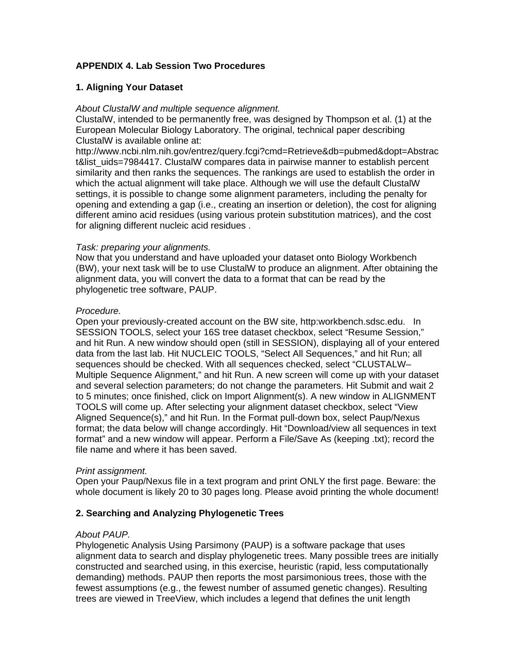### **APPENDIX 4. Lab Session Two Procedures**

### **1. Aligning Your Dataset**

### *About ClustalW and multiple sequence alignment.*

ClustalW, intended to be permanently free, was designed by Thompson et al. (1) at the European Molecular Biology Laboratory. The original, technical paper describing ClustalW is available online at:

http://www.ncbi.nlm.nih.gov/entrez/query.fcgi?cmd=Retrieve&db=pubmed&dopt=Abstrac t&list\_uids=7984417. ClustalW compares data in pairwise manner to establish percent similarity and then ranks the sequences. The rankings are used to establish the order in which the actual alignment will take place. Although we will use the default ClustalW settings, it is possible to change some alignment parameters, including the penalty for opening and extending a gap (i.e., creating an insertion or deletion), the cost for aligning different amino acid residues (using various protein substitution matrices), and the cost for aligning different nucleic acid residues .

### *Task: preparing your alignments.*

Now that you understand and have uploaded your dataset onto Biology Workbench (BW), your next task will be to use ClustalW to produce an alignment. After obtaining the alignment data, you will convert the data to a format that can be read by the phylogenetic tree software, PAUP.

### *Procedure.*

Open your previously-created account on the BW site, http:workbench.sdsc.edu. In SESSION TOOLS, select your 16S tree dataset checkbox, select "Resume Session," and hit Run. A new window should open (still in SESSION), displaying all of your entered data from the last lab. Hit NUCLEIC TOOLS, "Select All Sequences," and hit Run; all sequences should be checked. With all sequences checked, select "CLUSTALW– Multiple Sequence Alignment," and hit Run. A new screen will come up with your dataset and several selection parameters; do not change the parameters. Hit Submit and wait 2 to 5 minutes; once finished, click on Import Alignment(s). A new window in ALIGNMENT TOOLS will come up. After selecting your alignment dataset checkbox, select "View Aligned Sequence(s)," and hit Run. In the Format pull-down box, select Paup/Nexus format; the data below will change accordingly. Hit "Download/view all sequences in text format" and a new window will appear. Perform a File/Save As (keeping .txt); record the file name and where it has been saved.

### *Print assignment.*

Open your Paup/Nexus file in a text program and print ONLY the first page. Beware: the whole document is likely 20 to 30 pages long. Please avoid printing the whole document!

### **2. Searching and Analyzing Phylogenetic Trees**

### *About PAUP.*

Phylogenetic Analysis Using Parsimony (PAUP) is a software package that uses alignment data to search and display phylogenetic trees. Many possible trees are initially constructed and searched using, in this exercise, heuristic (rapid, less computationally demanding) methods. PAUP then reports the most parsimonious trees, those with the fewest assumptions (e.g., the fewest number of assumed genetic changes). Resulting trees are viewed in TreeView, which includes a legend that defines the unit length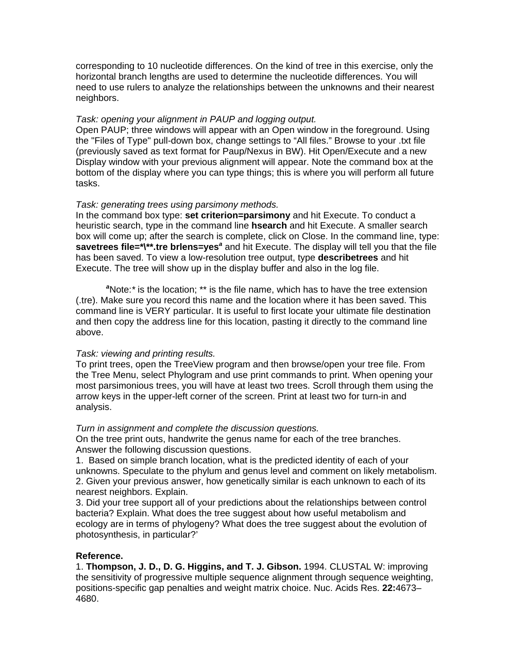corresponding to 10 nucleotide differences. On the kind of tree in this exercise, only the horizontal branch lengths are used to determine the nucleotide differences. You will need to use rulers to analyze the relationships between the unknowns and their nearest neighbors.

### *Task: opening your alignment in PAUP and logging output.*

Open PAUP; three windows will appear with an Open window in the foreground. Using the "Files of Type" pull-down box, change settings to "All files." Browse to your .txt file (previously saved as text format for Paup/Nexus in BW). Hit Open/Execute and a new Display window with your previous alignment will appear. Note the command box at the bottom of the display where you can type things; this is where you will perform all future tasks.

### *Task: generating trees using parsimony methods.*

In the command box type: **set criterion=parsimony** and hit Execute. To conduct a heuristic search, type in the command line **hsearch** and hit Execute. A smaller search box will come up; after the search is complete, click on Close. In the command line, type: savetrees file=\*\\*\*.tre brlens=yes<sup>a</sup> and hit Execute. The display will tell you that the file has been saved. To view a low-resolution tree output, type **describetrees** and hit Execute. The tree will show up in the display buffer and also in the log file.

<sup>a</sup>Note: \* is the location; \*\* is the file name, which has to have the tree extension (.tre). Make sure you record this name and the location where it has been saved. This command line is VERY particular. It is useful to first locate your ultimate file destination and then copy the address line for this location, pasting it directly to the command line above.

### *Task: viewing and printing results.*

To print trees, open the TreeView program and then browse/open your tree file. From the Tree Menu, select Phylogram and use print commands to print. When opening your most parsimonious trees, you will have at least two trees. Scroll through them using the arrow keys in the upper-left corner of the screen. Print at least two for turn-in and analysis.

#### *Turn in assignment and complete the discussion questions.*

On the tree print outs, handwrite the genus name for each of the tree branches. Answer the following discussion questions.

1. Based on simple branch location, what is the predicted identity of each of your unknowns. Speculate to the phylum and genus level and comment on likely metabolism. 2. Given your previous answer, how genetically similar is each unknown to each of its nearest neighbors. Explain.

3. Did your tree support all of your predictions about the relationships between control bacteria? Explain. What does the tree suggest about how useful metabolism and ecology are in terms of phylogeny? What does the tree suggest about the evolution of photosynthesis, in particular?'

### **Reference.**

1. **Thompson, J. D., D. G. Higgins, and T. J. Gibson.** 1994. CLUSTAL W: improving the sensitivity of progressive multiple sequence alignment through sequence weighting, positions-specific gap penalties and weight matrix choice. Nuc. Acids Res. **22:**4673– 4680.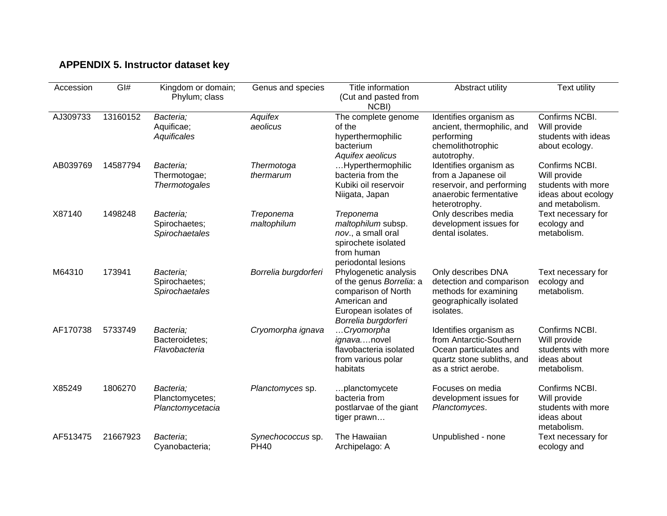# **APPENDIX 5. Instructor dataset key**

| Accession | GI#      | Kingdom or domain;<br>Phylum; class               | Genus and species                | Title information<br>(Cut and pasted from<br>NCBI)                                                                                       | Abstract utility                                                                                                                 | <b>Text utility</b>                                                                            |
|-----------|----------|---------------------------------------------------|----------------------------------|------------------------------------------------------------------------------------------------------------------------------------------|----------------------------------------------------------------------------------------------------------------------------------|------------------------------------------------------------------------------------------------|
| AJ309733  | 13160152 | Bacteria;<br>Aquificae;<br>Aquificales            | Aquifex<br>aeolicus              | The complete genome<br>of the<br>hyperthermophilic<br>bacterium<br>Aquifex aeolicus                                                      | Identifies organism as<br>ancient, thermophilic, and<br>performing<br>chemolithotrophic<br>autotrophy.                           | Confirms NCBI.<br>Will provide<br>students with ideas<br>about ecology.                        |
| AB039769  | 14587794 | Bacteria;<br>Thermotogae;<br><b>Thermotogales</b> | Thermotoga<br>thermarum          | Hyperthermophilic<br>bacteria from the<br>Kubiki oil reservoir<br>Niigata, Japan                                                         | Identifies organism as<br>from a Japanese oil<br>reservoir, and performing<br>anaerobic fermentative<br>heterotrophy.            | Confirms NCBI.<br>Will provide<br>students with more<br>ideas about ecology<br>and metabolism. |
| X87140    | 1498248  | Bacteria;<br>Spirochaetes;<br>Spirochaetales      | Treponema<br>maltophilum         | Treponema<br>maltophilum subsp.<br>nov., a small oral<br>spirochete isolated<br>from human<br>periodontal lesions                        | Only describes media<br>development issues for<br>dental isolates.                                                               | Text necessary for<br>ecology and<br>metabolism.                                               |
| M64310    | 173941   | Bacteria:<br>Spirochaetes;<br>Spirochaetales      | Borrelia burgdorferi             | Phylogenetic analysis<br>of the genus Borrelia: a<br>comparison of North<br>American and<br>European isolates of<br>Borrelia burgdorferi | Only describes DNA<br>detection and comparison<br>methods for examining<br>geographically isolated<br>isolates.                  | Text necessary for<br>ecology and<br>metabolism.                                               |
| AF170738  | 5733749  | Bacteria;<br>Bacteroidetes;<br>Flavobacteria      | Cryomorpha ignava                | Cryomorpha<br>ignavanovel<br>flavobacteria isolated<br>from various polar<br>habitats                                                    | Identifies organism as<br>from Antarctic-Southern<br>Ocean particulates and<br>quartz stone subliths, and<br>as a strict aerobe. | Confirms NCBI.<br>Will provide<br>students with more<br>ideas about<br>metabolism.             |
| X85249    | 1806270  | Bacteria;<br>Planctomycetes;<br>Planctomycetacia  | Planctomyces sp.                 | planctomycete<br>bacteria from<br>postlarvae of the giant<br>tiger prawn                                                                 | Focuses on media<br>development issues for<br>Planctomyces.                                                                      | Confirms NCBI.<br>Will provide<br>students with more<br>ideas about<br>metabolism.             |
| AF513475  | 21667923 | Bacteria;<br>Cyanobacteria;                       | Synechococcus sp.<br><b>PH40</b> | The Hawaiian<br>Archipelago: A                                                                                                           | Unpublished - none                                                                                                               | Text necessary for<br>ecology and                                                              |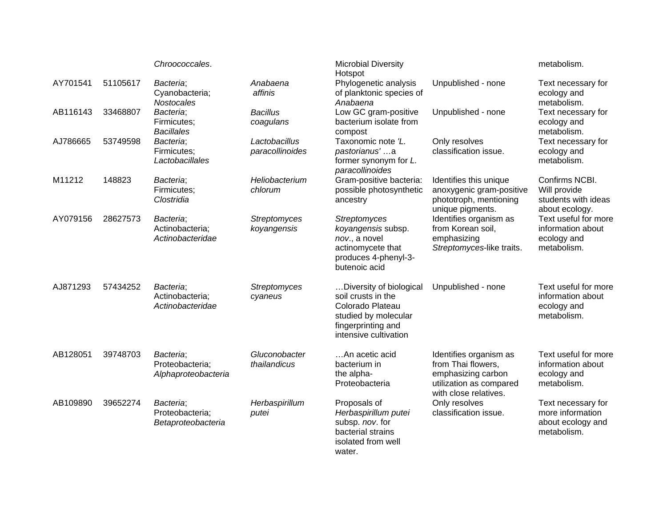|          |          | Chroococcales.                                      |                                    | <b>Microbial Diversity</b><br>Hotspot                                                                                                    |                                                                                                                        | metabolism.                                                                |
|----------|----------|-----------------------------------------------------|------------------------------------|------------------------------------------------------------------------------------------------------------------------------------------|------------------------------------------------------------------------------------------------------------------------|----------------------------------------------------------------------------|
| AY701541 | 51105617 | Bacteria;<br>Cyanobacteria;<br><b>Nostocales</b>    | Anabaena<br>affinis                | Phylogenetic analysis<br>of planktonic species of<br>Anabaena                                                                            | Unpublished - none                                                                                                     | Text necessary for<br>ecology and<br>metabolism.                           |
| AB116143 | 33468807 | Bacteria;<br>Firmicutes;<br><b>Bacillales</b>       | <b>Bacillus</b><br>coagulans       | Low GC gram-positive<br>bacterium isolate from<br>compost                                                                                | Unpublished - none                                                                                                     | Text necessary for<br>ecology and<br>metabolism.                           |
| AJ786665 | 53749598 | Bacteria;<br>Firmicutes;<br>Lactobacillales         | Lactobacillus<br>paracollinoides   | Taxonomic note 'L.<br>pastorianus'a<br>former synonym for L.<br>paracollinoides                                                          | Only resolves<br>classification issue.                                                                                 | Text necessary for<br>ecology and<br>metabolism.                           |
| M11212   | 148823   | Bacteria;<br>Firmicutes;<br>Clostridia              | Heliobacterium<br>chlorum          | Gram-positive bacteria:<br>possible photosynthetic<br>ancestry                                                                           | Identifies this unique<br>anoxygenic gram-positive<br>phototroph, mentioning<br>unique pigments.                       | Confirms NCBI.<br>Will provide<br>students with ideas<br>about ecology.    |
| AY079156 | 28627573 | Bacteria;<br>Actinobacteria;<br>Actinobacteridae    | <b>Streptomyces</b><br>koyangensis | <b>Streptomyces</b><br>koyangensis subsp.<br>nov., a novel<br>actinomycete that<br>produces 4-phenyl-3-<br>butenoic acid                 | Identifies organism as<br>from Korean soil,<br>emphasizing<br>Streptomyces-like traits.                                | Text useful for more<br>information about<br>ecology and<br>metabolism.    |
| AJ871293 | 57434252 | Bacteria;<br>Actinobacteria;<br>Actinobacteridae    | Streptomyces<br>cyaneus            | Diversity of biological<br>soil crusts in the<br>Colorado Plateau<br>studied by molecular<br>fingerprinting and<br>intensive cultivation | Unpublished - none                                                                                                     | Text useful for more<br>information about<br>ecology and<br>metabolism.    |
| AB128051 | 39748703 | Bacteria;<br>Proteobacteria;<br>Alphaproteobacteria | Gluconobacter<br>thailandicus      | An acetic acid<br>bacterium in<br>the alpha-<br>Proteobacteria                                                                           | Identifies organism as<br>from Thai flowers,<br>emphasizing carbon<br>utilization as compared<br>with close relatives. | Text useful for more<br>information about<br>ecology and<br>metabolism.    |
| AB109890 | 39652274 | Bacteria;<br>Proteobacteria;<br>Betaproteobacteria  | Herbaspirillum<br>putei            | Proposals of<br>Herbaspirillum putei<br>subsp. nov. for<br>bacterial strains<br>isolated from well<br>water.                             | Only resolves<br>classification issue.                                                                                 | Text necessary for<br>more information<br>about ecology and<br>metabolism. |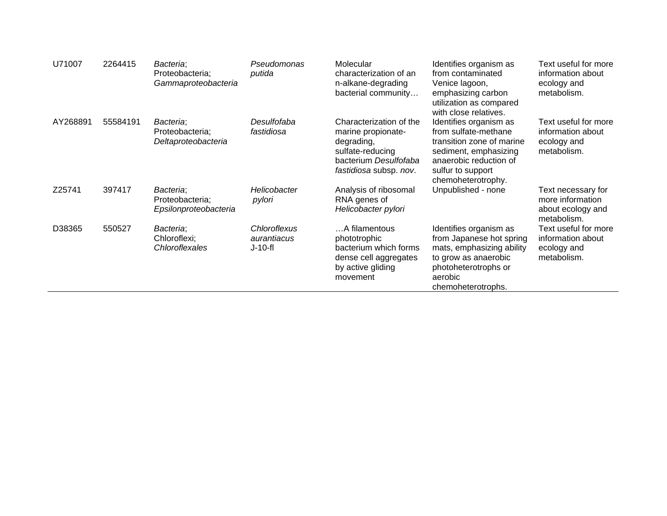| U71007   | 2264415  | Bacteria;<br>Proteobacteria;<br>Gammaproteobacteria   | Pseudomonas<br>putida                    | Molecular<br>characterization of an<br>n-alkane-degrading<br>bacterial community                                                   | Identifies organism as<br>from contaminated<br>Venice lagoon,<br>emphasizing carbon<br>utilization as compared<br>with close relatives.                                   | Text useful for more<br>information about<br>ecology and<br>metabolism.    |
|----------|----------|-------------------------------------------------------|------------------------------------------|------------------------------------------------------------------------------------------------------------------------------------|---------------------------------------------------------------------------------------------------------------------------------------------------------------------------|----------------------------------------------------------------------------|
| AY268891 | 55584191 | Bacteria;<br>Proteobacteria;<br>Deltaproteobacteria   | Desulfofaba<br>fastidiosa                | Characterization of the<br>marine propionate-<br>degrading,<br>sulfate-reducing<br>bacterium Desulfofaba<br>fastidiosa subsp. nov. | Identifies organism as<br>from sulfate-methane<br>transition zone of marine<br>sediment, emphasizing<br>anaerobic reduction of<br>sulfur to support<br>chemoheterotrophy. | Text useful for more<br>information about<br>ecology and<br>metabolism.    |
| Z25741   | 397417   | Bacteria;<br>Proteobacteria;<br>Epsilonproteobacteria | <b>Helicobacter</b><br>pylori            | Analysis of ribosomal<br>RNA genes of<br>Helicobacter pylori                                                                       | Unpublished - none                                                                                                                                                        | Text necessary for<br>more information<br>about ecology and<br>metabolism. |
| D38365   | 550527   | Bacteria;<br>Chloroflexi;<br>Chloroflexales           | Chloroflexus<br>aurantiacus<br>$J-10-fl$ | A filamentous<br>phototrophic<br>bacterium which forms<br>dense cell aggregates<br>by active gliding<br>movement                   | Identifies organism as<br>from Japanese hot spring<br>mats, emphasizing ability<br>to grow as anaerobic<br>photoheterotrophs or<br>aerobic<br>chemoheterotrophs.          | Text useful for more<br>information about<br>ecology and<br>metabolism.    |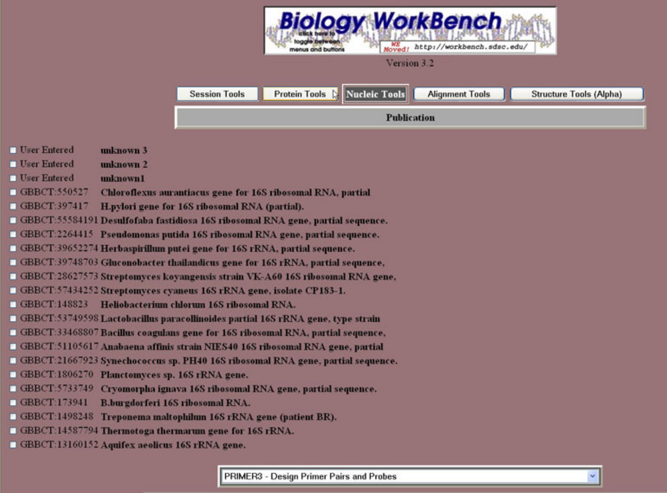

- **User Entered** unknown 3
- **User Entered** unknown 2
- **User Entered** unknown1
- GBBCT:550527 Chloroflexus aurantiacus gene for 16S ribosomal RNA, partial
- GBBCT:397417 H.pylori gene for 16S ribosomal RNA (partial).
- GBBCT:55584191 Desulfofaba fastidiosa 16S ribosomal RNA gene, partial sequence.
- GBBCT:2264415 Pseudomonas putida 16S ribosomal RNA gene, partial sequence.
- GBBCT:39652274 Herbaspirillum putei gene for 16S rRNA, partial sequence.
- GBBCT:39748703 Gluconobacter thailandicus gene for 16S rRNA, partial sequence,
- GBBCT:28627573 Streptomyces kovangensis strain VK-A60 16S ribosomal RNA gene.
- GBBCT:57434252 Streptomyces cyaneus 16S rRNA gene, isolate CP183-1.
- GBBCT:148823 Heliobacterium chlorum 16S ribosomal RNA.
- $\Box$  GBBCT:53749598 Lactobacillus paracollinoides partial 16S rRNA gene, type strain
- GBBCT:33468807 Bacillus coagulans gene for 16S ribosomal RNA, partial sequence,
- GBBCT:51105617 Anabaena affinis strain NIES40 16S ribosomal RNA gene, partial
- GBBCT:21667923 Synechococcus sp. PH40 16S ribosomal RNA gene, partial sequence.
- GBBCT:1806270 Planctomyces sp. 16S rRNA gene.
- GBBCT:5733749 Cryomorpha ignava 16S ribosomal RNA gene, partial sequence.
- GBBCT:173941 B.burgdorferi 16S ribosomal RNA.
- GBBCT:1498248 Treponema maltophilum 16S rRNA gene (patient BR).
- GBBCT:14587794 Thermotoga thermarum gene for 16S rRNA.
- GBBCT:13160152 Aquifex aeolicus 16S rRNA gene.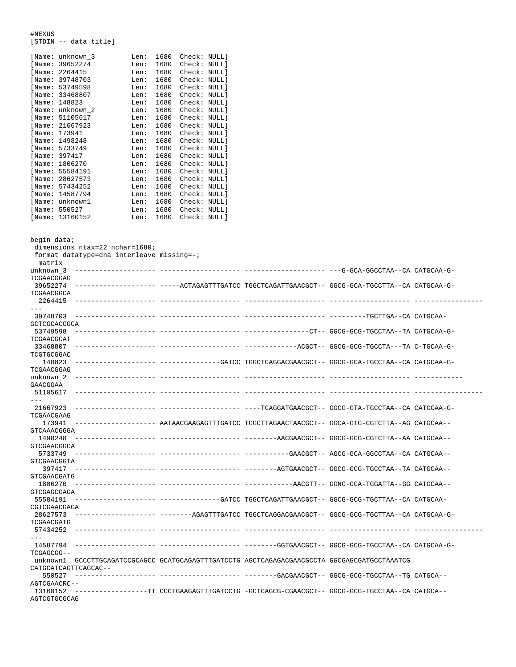#NEXUS [STDIN -- data title]

| [Name: | unknown 3 | Len: | 1680 | Check: | NULL 1 |
|--------|-----------|------|------|--------|--------|
| [Name: | 39652274  | Len: | 1680 | Check: | NULL]  |
| [Name: | 2264415   | Len: | 1680 | Check: | NULL]  |
| [Name: | 39748703  | Len: | 1680 | Check: | NULL]  |
| [Name: | 53749598  | Len: | 1680 | Check: | NULL 1 |
| [Name: | 33468807  | Len: | 1680 | Check: | NULL 1 |
| [Name: | 148823    | Len: | 1680 | Check: | NULL]  |
| [Name: | unknown 2 | Len: | 1680 | Check: | NULL 1 |
| [Name: | 51105617  | Len: | 1680 | Check: | NULL 1 |
| [Name: | 21667923  | Len: | 1680 | Check: | NULL]  |
| [Name: | 173941    | Len: | 1680 | Check: | NULL 1 |
| [Name: | 1498248   | Len: | 1680 | Check: | NULL]  |
| [Name: | 5733749   | Len: | 1680 | Check: | NULL 1 |
| [Name: | 397417    | Len: | 1680 | Check: | NULL]  |
| [Name: | 1806270   | Len: | 1680 | Check: | NULL]  |
| [Name: | 55584191  | Len: | 1680 | Check: | NULL]  |
| [Name: | 28627573  | Len: | 1680 | Check: | NULL 1 |
| [Name: | 57434252  | Len: | 1680 | Check: | NULL 1 |
| [Name: | 14587794  | Len: | 1680 | Check: | NULL]  |
| [Name: | unknown1  | Len: | 1680 | Check: | NULL 1 |
| [Name: | 550527    | Len: | 1680 | Check: | NULL 1 |

[Name: 13160152 Len: 1680 Check: NULL]

begin data; dimensions ntax=22 nchar=1680; format datatype=dna interleave missing=-; matrix unknown\_3 -------------------- -------------------- -------------------- ---G-GCA-GGCCTAA--CA CATGCAA-G-TCGAACGGAG 39652274 -------------------- -----ACTAGAGTTTGATCC TGGCTCAGATTGAACGCT-- GGCG-GCA-TGCCTTA--CA CATGCAA-G-TCGAACGGCA 2264415 -------------------- -------------------- -------------------- -------------------- ----------------- --- 39748703 -------------------- -------------------- -------------------- ---------TGCTTGA--CA CATGCAA-GCTCGCACGGCA<br>-- 53749598 53749598 -------------------- -------------------- ----------------CT-- GGCG-GCG-TGCCTAA--TA CATGCAA-G-TCGAACGCAT<br>33468807 33468807 -------------------- -------------------- -------------ACGCT-- GGCG-GCG-TGCCTA---TA C-TGCAA-G-TCGTGCGGAC 148823 -------------------- ---------------GATCC TGGCTCAGGACGAACGCT-- GGCG-GCA-TGCCTAA--CA CATGCAA-G-TCGAACGGAG unknown\_2 -------------------- -------------------- -------------------- -------------------- ------------ GAACGGAA 51105617 -------------------- -------------------- -------------------- -------------------- ----------------- --- 21667923 -------------------- -------------------- ----TCAGGATGAACGCT-- GGCG-GTA-TGCCTAA--CA CATGCAA-G-TCGAACGAAG<br>173941 173941 -------------------- AATAACGAAGAGTTTGATCC TGGCTTAGAACTAACGCT-- GGCA-GTG-CGTCTTA--AG CATGCAA-- GTCAAACGGGA 1498248 -------------------- -------------------- --------AACGAACGCT-- GGCG-GCG-CGTCTTA--AA CATGCAA-- GTCGAACGGCA<br>5733749 5733749 -------------------- -------------------- -----------GAACGCT-- AGCG-GCA-GGCCTAA--CA CATGCAA-- GTCGAACGGTA 397417 -------------------- -------------------- --------AGTGAACGCT-- GGCG-GCG-TGCCTAA--TA CATGCAA-- GTCGAACGATG 1806270 -------------------- -------------------- ------------AACGTT-- GGNG-GCA-TGGATTA--GG CATGCAA-- GTCGAGCGAGA 55584191 -------------------- ---------------GATCC TGGCTCAGATTGAACGCT-- GGCG-GCG-TGCTTAA--CA CATGCAA-CGTCGAACGAGA 28627573 -------------------- --------AGAGTTTGATCC TGGCTCAGGACGAACGCT-- GGCG-GCG-TGCTTAA--CA CATGCAA-G-TCGAACGATG 57434252 -------------------- -------------------- -------------------- -------------------- ----------------- --- 14587794 -------------------- -------------------- --------GGTGAACGCT-- GGCG-GCG-TGCCTAA--CA CATGCAA-G-TCGAGCGG- unknown1 GCCCTTGCAGATCCGCAGCC GCATGCAGAGTTTGATCCTG AGCTCAGAGACGAACGCCTA GGCGAGCGATGCCTAAATCG CATGCATCAGTTCAGCAC-- 550527 -------------------- -------------------- --------GACGAACGCT-- GGCG-GCG-TGCCTAA--TG CATGCA-- AGTCGAACRC-- 13160152 ------------------TT CCCTGAAGAGTTTGATCCTG -GCTCAGCG-CGAACGCT-- GGCG-GCG-TGCCTAA--CA CATGCA-- AGTCGTGCGCAG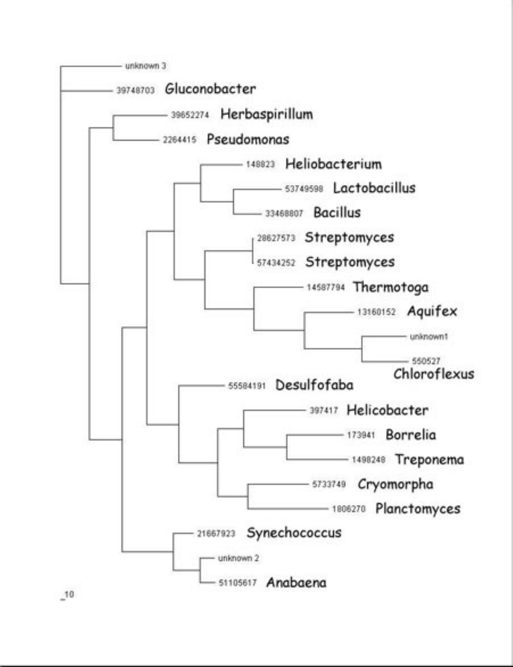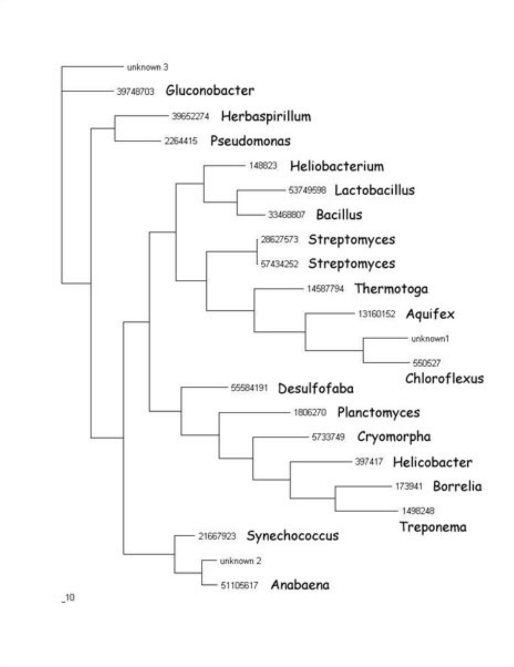